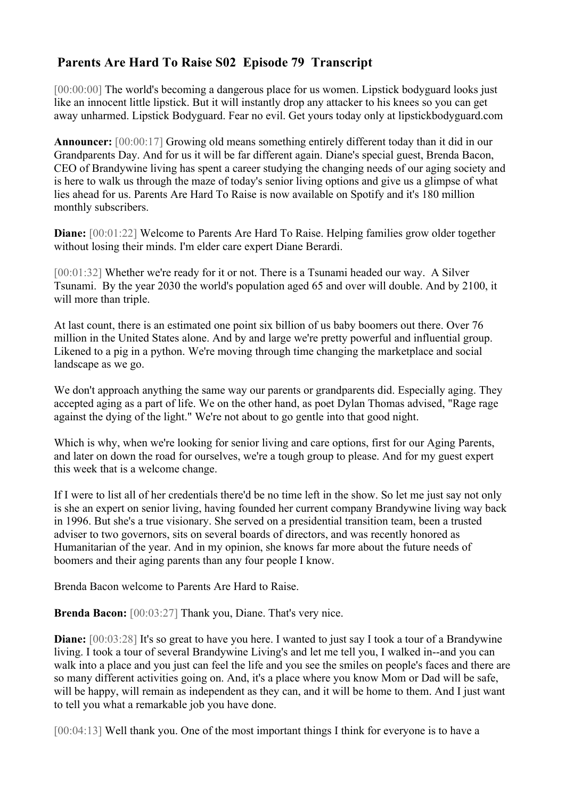## **Parents Are Hard To Raise S02 Episode 79 Transcript**

[00:00:00] The world's becoming a dangerous place for us women. Lipstick bodyguard looks just like an innocent little lipstick. But it will instantly drop any attacker to his knees so you can get away unharmed. Lipstick Bodyguard. Fear no evil. Get yours today only at lipstickbodyguard.com

**Announcer:** [00:00:17] Growing old means something entirely different today than it did in our Grandparents Day. And for us it will be far different again. Diane's special guest, Brenda Bacon, CEO of Brandywine living has spent a career studying the changing needs of our aging society and is here to walk us through the maze of today's senior living options and give us a glimpse of what lies ahead for us. Parents Are Hard To Raise is now available on Spotify and it's 180 million monthly subscribers.

**Diane:**  $[00:01:22]$  Welcome to Parents Are Hard To Raise. Helping families grow older together without losing their minds. I'm elder care expert Diane Berardi.

[00:01:32] Whether we're ready for it or not. There is a Tsunami headed our way. A Silver Tsunami. By the year 2030 the world's population aged 65 and over will double. And by 2100, it will more than triple.

At last count, there is an estimated one point six billion of us baby boomers out there. Over 76 million in the United States alone. And by and large we're pretty powerful and influential group. Likened to a pig in a python. We're moving through time changing the marketplace and social landscape as we go.

We don't approach anything the same way our parents or grandparents did. Especially aging. They accepted aging as a part of life. We on the other hand, as poet Dylan Thomas advised, "Rage rage against the dying of the light." We're not about to go gentle into that good night.

Which is why, when we're looking for senior living and care options, first for our Aging Parents, and later on down the road for ourselves, we're a tough group to please. And for my guest expert this week that is a welcome change.

If I were to list all of her credentials there'd be no time left in the show. So let me just say not only is she an expert on senior living, having founded her current company Brandywine living way back in 1996. But she's a true visionary. She served on a presidential transition team, been a trusted adviser to two governors, sits on several boards of directors, and was recently honored as Humanitarian of the year. And in my opinion, she knows far more about the future needs of boomers and their aging parents than any four people I know.

Brenda Bacon welcome to Parents Are Hard to Raise.

**Brenda Bacon:** [00:03:27] Thank you, Diane. That's very nice.

**Diane:** [00:03:28] It's so great to have you here. I wanted to just say I took a tour of a Brandywine living. I took a tour of several Brandywine Living's and let me tell you, I walked in--and you can walk into a place and you just can feel the life and you see the smiles on people's faces and there are so many different activities going on. And, it's a place where you know Mom or Dad will be safe, will be happy, will remain as independent as they can, and it will be home to them. And I just want to tell you what a remarkable job you have done.

[00:04:13] Well thank you. One of the most important things I think for everyone is to have a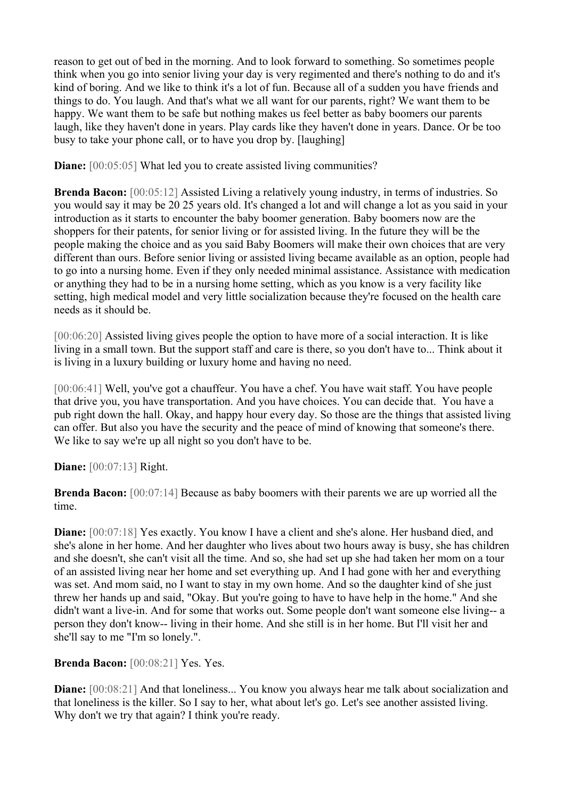reason to get out of bed in the morning. And to look forward to something. So sometimes people think when you go into senior living your day is very regimented and there's nothing to do and it's kind of boring. And we like to think it's a lot of fun. Because all of a sudden you have friends and things to do. You laugh. And that's what we all want for our parents, right? We want them to be happy. We want them to be safe but nothing makes us feel better as baby boomers our parents laugh, like they haven't done in years. Play cards like they haven't done in years. Dance. Or be too busy to take your phone call, or to have you drop by. [laughing]

**Diane:**  $[00:05:05]$  What led you to create assisted living communities?

**Brenda Bacon:** [00:05:12] Assisted Living a relatively young industry, in terms of industries. So you would say it may be 20 25 years old. It's changed a lot and will change a lot as you said in your introduction as it starts to encounter the baby boomer generation. Baby boomers now are the shoppers for their patents, for senior living or for assisted living. In the future they will be the people making the choice and as you said Baby Boomers will make their own choices that are very different than ours. Before senior living or assisted living became available as an option, people had to go into a nursing home. Even if they only needed minimal assistance. Assistance with medication or anything they had to be in a nursing home setting, which as you know is a very facility like setting, high medical model and very little socialization because they're focused on the health care needs as it should be.

[00:06:20] Assisted living gives people the option to have more of a social interaction. It is like living in a small town. But the support staff and care is there, so you don't have to... Think about it is living in a luxury building or luxury home and having no need.

[00:06:41] Well, you've got a chauffeur. You have a chef. You have wait staff. You have people that drive you, you have transportation. And you have choices. You can decide that. You have a pub right down the hall. Okay, and happy hour every day. So those are the things that assisted living can offer. But also you have the security and the peace of mind of knowing that someone's there. We like to say we're up all night so you don't have to be.

**Diane:** [00:07:13] Right.

**Brenda Bacon:** [00:07:14] Because as baby boomers with their parents we are up worried all the time.

**Diane:** [00:07:18] Yes exactly. You know I have a client and she's alone. Her husband died, and she's alone in her home. And her daughter who lives about two hours away is busy, she has children and she doesn't, she can't visit all the time. And so, she had set up she had taken her mom on a tour of an assisted living near her home and set everything up. And I had gone with her and everything was set. And mom said, no I want to stay in my own home. And so the daughter kind of she just threw her hands up and said, "Okay. But you're going to have to have help in the home." And she didn't want a live-in. And for some that works out. Some people don't want someone else living-- a person they don't know-- living in their home. And she still is in her home. But I'll visit her and she'll say to me "I'm so lonely.".

**Brenda Bacon:** [00:08:21] Yes. Yes.

**Diane:**  $[00:08:21]$  And that loneliness... You know you always hear me talk about socialization and that loneliness is the killer. So I say to her, what about let's go. Let's see another assisted living. Why don't we try that again? I think you're ready.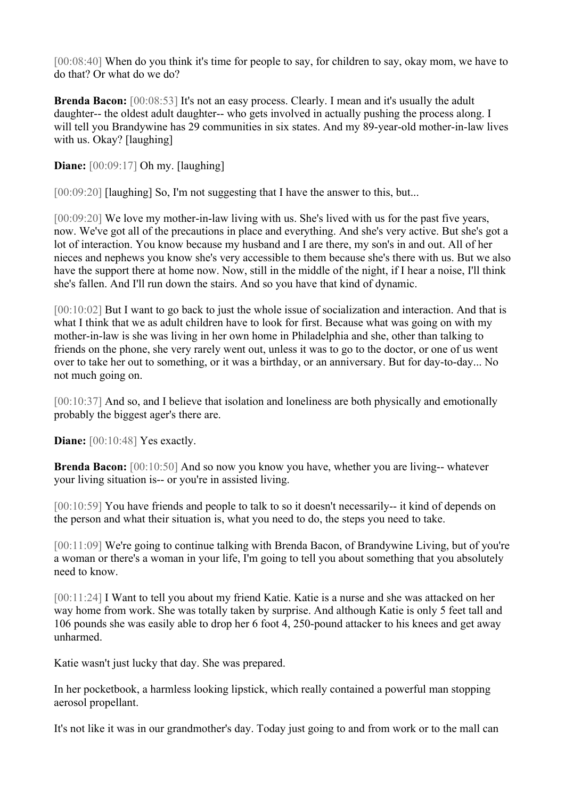[00:08:40] When do you think it's time for people to say, for children to say, okay mom, we have to do that? Or what do we do?

**Brenda Bacon:** [00:08:53] It's not an easy process. Clearly. I mean and it's usually the adult daughter-- the oldest adult daughter-- who gets involved in actually pushing the process along. I will tell you Brandywine has 29 communities in six states. And my 89-year-old mother-in-law lives with us. Okay? [laughing]

**Diane:**  $[00:09:17]$  Oh my. [laughing]

[00:09:20] [laughing] So, I'm not suggesting that I have the answer to this, but...

[00:09:20] We love my mother-in-law living with us. She's lived with us for the past five years, now. We've got all of the precautions in place and everything. And she's very active. But she's got a lot of interaction. You know because my husband and I are there, my son's in and out. All of her nieces and nephews you know she's very accessible to them because she's there with us. But we also have the support there at home now. Now, still in the middle of the night, if I hear a noise, I'll think she's fallen. And I'll run down the stairs. And so you have that kind of dynamic.

[00:10:02] But I want to go back to just the whole issue of socialization and interaction. And that is what I think that we as adult children have to look for first. Because what was going on with my mother-in-law is she was living in her own home in Philadelphia and she, other than talking to friends on the phone, she very rarely went out, unless it was to go to the doctor, or one of us went over to take her out to something, or it was a birthday, or an anniversary. But for day-to-day... No not much going on.

[00:10:37] And so, and I believe that isolation and loneliness are both physically and emotionally probably the biggest ager's there are.

**Diane:**  $[00:10:48]$  Yes exactly.

**Brenda Bacon:** [00:10:50] And so now you know you have, whether you are living-- whatever your living situation is-- or you're in assisted living.

[00:10:59] You have friends and people to talk to so it doesn't necessarily-- it kind of depends on the person and what their situation is, what you need to do, the steps you need to take.

[00:11:09] We're going to continue talking with Brenda Bacon, of Brandywine Living, but of you're a woman or there's a woman in your life, I'm going to tell you about something that you absolutely need to know.

[00:11:24] I Want to tell you about my friend Katie. Katie is a nurse and she was attacked on her way home from work. She was totally taken by surprise. And although Katie is only 5 feet tall and 106 pounds she was easily able to drop her 6 foot 4, 250-pound attacker to his knees and get away unharmed.

Katie wasn't just lucky that day. She was prepared.

In her pocketbook, a harmless looking lipstick, which really contained a powerful man stopping aerosol propellant.

It's not like it was in our grandmother's day. Today just going to and from work or to the mall can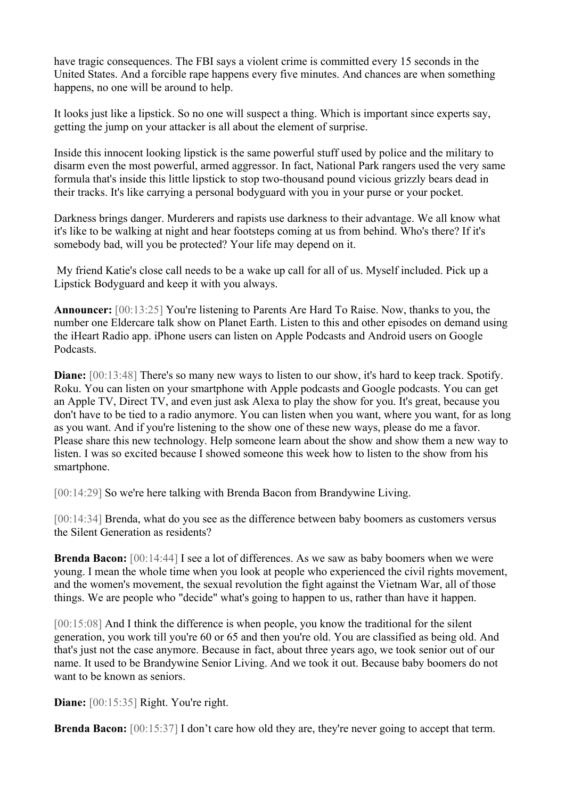have tragic consequences. The FBI says a violent crime is committed every 15 seconds in the United States. And a forcible rape happens every five minutes. And chances are when something happens, no one will be around to help.

It looks just like a lipstick. So no one will suspect a thing. Which is important since experts say, getting the jump on your attacker is all about the element of surprise.

Inside this innocent looking lipstick is the same powerful stuff used by police and the military to disarm even the most powerful, armed aggressor. In fact, National Park rangers used the very same formula that's inside this little lipstick to stop two-thousand pound vicious grizzly bears dead in their tracks. It's like carrying a personal bodyguard with you in your purse or your pocket.

Darkness brings danger. Murderers and rapists use darkness to their advantage. We all know what it's like to be walking at night and hear footsteps coming at us from behind. Who's there? If it's somebody bad, will you be protected? Your life may depend on it.

My friend Katie's close call needs to be a wake up call for all of us. Myself included. Pick up a Lipstick Bodyguard and keep it with you always.

**Announcer:** [00:13:25] You're listening to Parents Are Hard To Raise. Now, thanks to you, the number one Eldercare talk show on Planet Earth. Listen to this and other episodes on demand using the iHeart Radio app. iPhone users can listen on Apple Podcasts and Android users on Google Podcasts.

**Diane:** [00:13:48] There's so many new ways to listen to our show, it's hard to keep track. Spotify. Roku. You can listen on your smartphone with Apple podcasts and Google podcasts. You can get an Apple TV, Direct TV, and even just ask Alexa to play the show for you. It's great, because you don't have to be tied to a radio anymore. You can listen when you want, where you want, for as long as you want. And if you're listening to the show one of these new ways, please do me a favor. Please share this new technology. Help someone learn about the show and show them a new way to listen. I was so excited because I showed someone this week how to listen to the show from his smartphone.

[00:14:29] So we're here talking with Brenda Bacon from Brandywine Living.

[00:14:34] Brenda, what do you see as the difference between baby boomers as customers versus the Silent Generation as residents?

**Brenda Bacon:** [00:14:44] I see a lot of differences. As we saw as baby boomers when we were young. I mean the whole time when you look at people who experienced the civil rights movement, and the women's movement, the sexual revolution the fight against the Vietnam War, all of those things. We are people who "decide" what's going to happen to us, rather than have it happen.

[00:15:08] And I think the difference is when people, you know the traditional for the silent generation, you work till you're 60 or 65 and then you're old. You are classified as being old. And that's just not the case anymore. Because in fact, about three years ago, we took senior out of our name. It used to be Brandywine Senior Living. And we took it out. Because baby boomers do not want to be known as seniors.

**Diane:** [00:15:35] Right. You're right.

**Brenda Bacon:** [00:15:37] I don't care how old they are, they're never going to accept that term.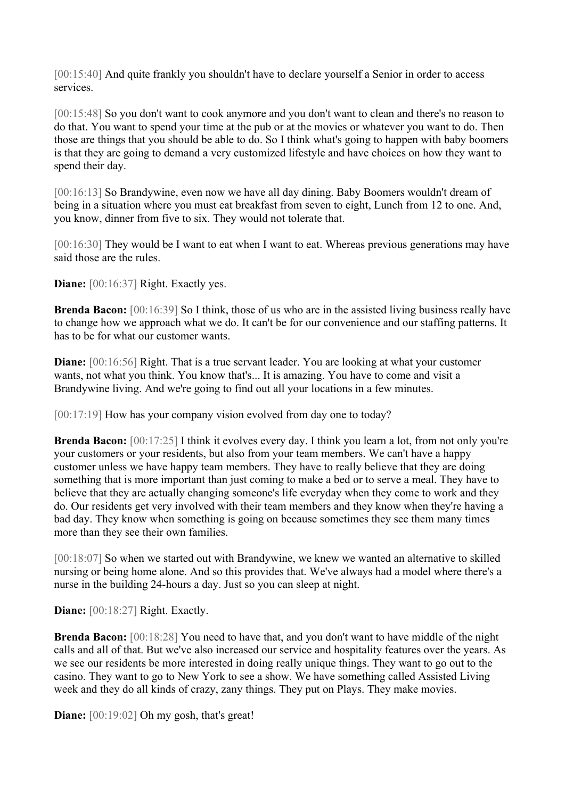[00:15:40] And quite frankly you shouldn't have to declare yourself a Senior in order to access services.

[00:15:48] So you don't want to cook anymore and you don't want to clean and there's no reason to do that. You want to spend your time at the pub or at the movies or whatever you want to do. Then those are things that you should be able to do. So I think what's going to happen with baby boomers is that they are going to demand a very customized lifestyle and have choices on how they want to spend their day.

[00:16:13] So Brandywine, even now we have all day dining. Baby Boomers wouldn't dream of being in a situation where you must eat breakfast from seven to eight, Lunch from 12 to one. And, you know, dinner from five to six. They would not tolerate that.

[00:16:30] They would be I want to eat when I want to eat. Whereas previous generations may have said those are the rules.

**Diane:** [00:16:37] Right. Exactly yes.

**Brenda Bacon:** [00:16:39] So I think, those of us who are in the assisted living business really have to change how we approach what we do. It can't be for our convenience and our staffing patterns. It has to be for what our customer wants.

**Diane:** [00:16:56] Right. That is a true servant leader. You are looking at what your customer wants, not what you think. You know that's... It is amazing. You have to come and visit a Brandywine living. And we're going to find out all your locations in a few minutes.

[00:17:19] How has your company vision evolved from day one to today?

**Brenda Bacon:** [00:17:25] I think it evolves every day. I think you learn a lot, from not only you're your customers or your residents, but also from your team members. We can't have a happy customer unless we have happy team members. They have to really believe that they are doing something that is more important than just coming to make a bed or to serve a meal. They have to believe that they are actually changing someone's life everyday when they come to work and they do. Our residents get very involved with their team members and they know when they're having a bad day. They know when something is going on because sometimes they see them many times more than they see their own families.

[00:18:07] So when we started out with Brandywine, we knew we wanted an alternative to skilled nursing or being home alone. And so this provides that. We've always had a model where there's a nurse in the building 24-hours a day. Just so you can sleep at night.

**Diane:** [00:18:27] Right. Exactly.

**Brenda Bacon:** [00:18:28] You need to have that, and you don't want to have middle of the night calls and all of that. But we've also increased our service and hospitality features over the years. As we see our residents be more interested in doing really unique things. They want to go out to the casino. They want to go to New York to see a show. We have something called Assisted Living week and they do all kinds of crazy, zany things. They put on Plays. They make movies.

**Diane:** [00:19:02] Oh my gosh, that's great!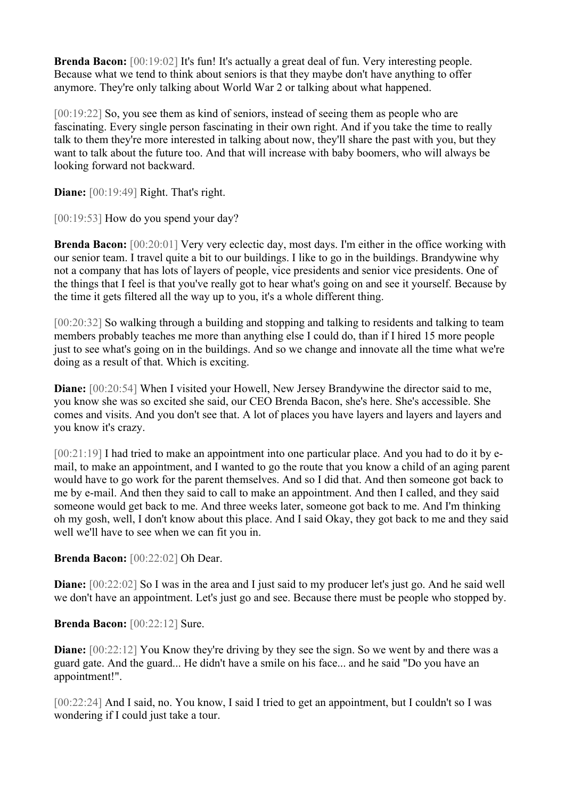**Brenda Bacon:** [00:19:02] It's fun! It's actually a great deal of fun. Very interesting people. Because what we tend to think about seniors is that they maybe don't have anything to offer anymore. They're only talking about World War 2 or talking about what happened.

[00:19:22] So, you see them as kind of seniors, instead of seeing them as people who are fascinating. Every single person fascinating in their own right. And if you take the time to really talk to them they're more interested in talking about now, they'll share the past with you, but they want to talk about the future too. And that will increase with baby boomers, who will always be looking forward not backward.

**Diane:** [00:19:49] Right. That's right.

[00:19:53] How do you spend your day?

**Brenda Bacon:** [00:20:01] Very very eclectic day, most days. I'm either in the office working with our senior team. I travel quite a bit to our buildings. I like to go in the buildings. Brandywine why not a company that has lots of layers of people, vice presidents and senior vice presidents. One of the things that I feel is that you've really got to hear what's going on and see it yourself. Because by the time it gets filtered all the way up to you, it's a whole different thing.

[00:20:32] So walking through a building and stopping and talking to residents and talking to team members probably teaches me more than anything else I could do, than if I hired 15 more people just to see what's going on in the buildings. And so we change and innovate all the time what we're doing as a result of that. Which is exciting.

**Diane:**  $[00:20:54]$  When I visited your Howell, New Jersey Brandywine the director said to me, you know she was so excited she said, our CEO Brenda Bacon, she's here. She's accessible. She comes and visits. And you don't see that. A lot of places you have layers and layers and layers and you know it's crazy.

[00:21:19] I had tried to make an appointment into one particular place. And you had to do it by email, to make an appointment, and I wanted to go the route that you know a child of an aging parent would have to go work for the parent themselves. And so I did that. And then someone got back to me by e-mail. And then they said to call to make an appointment. And then I called, and they said someone would get back to me. And three weeks later, someone got back to me. And I'm thinking oh my gosh, well, I don't know about this place. And I said Okay, they got back to me and they said well we'll have to see when we can fit you in.

**Brenda Bacon:** [00:22:02] Oh Dear.

**Diane:**  $[00:22:02]$  So I was in the area and I just said to my producer let's just go. And he said well we don't have an appointment. Let's just go and see. Because there must be people who stopped by.

**Brenda Bacon:** [00:22:12] Sure.

**Diane:** [00:22:12] You Know they're driving by they see the sign. So we went by and there was a guard gate. And the guard... He didn't have a smile on his face... and he said "Do you have an appointment!".

[00:22:24] And I said, no. You know, I said I tried to get an appointment, but I couldn't so I was wondering if I could just take a tour.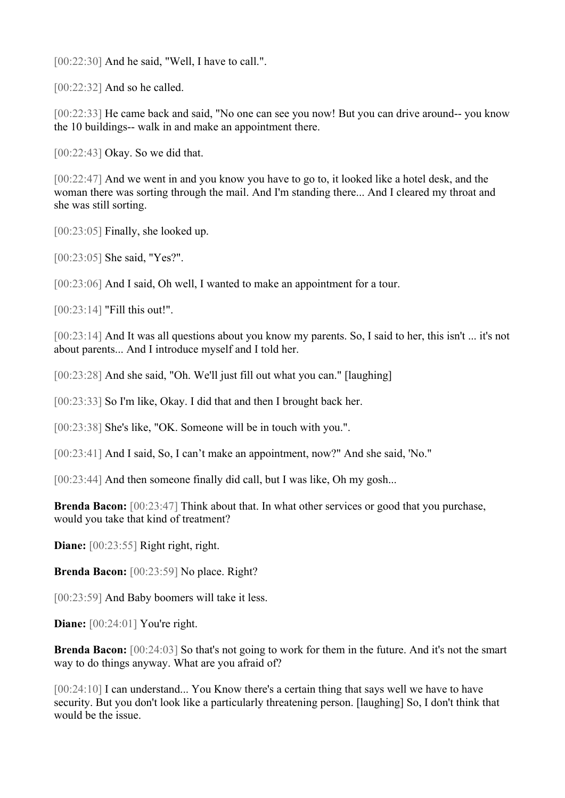[00:22:30] And he said, "Well, I have to call.".

[00:22:32] And so he called.

[00:22:33] He came back and said, "No one can see you now! But you can drive around-- you know the 10 buildings-- walk in and make an appointment there.

[00:22:43] Okay. So we did that.

[00:22:47] And we went in and you know you have to go to, it looked like a hotel desk, and the woman there was sorting through the mail. And I'm standing there... And I cleared my throat and she was still sorting.

[00:23:05] Finally, she looked up.

[00:23:05] She said, "Yes?".

[00:23:06] And I said, Oh well, I wanted to make an appointment for a tour.

[00:23:14] "Fill this out!".

[00:23:14] And It was all questions about you know my parents. So, I said to her, this isn't ... it's not about parents... And I introduce myself and I told her.

[00:23:28] And she said, "Oh. We'll just fill out what you can." [laughing]

[00:23:33] So I'm like, Okay. I did that and then I brought back her.

[00:23:38] She's like, "OK. Someone will be in touch with you.".

[00:23:41] And I said, So, I can't make an appointment, now?" And she said, 'No."

[00:23:44] And then someone finally did call, but I was like, Oh my gosh...

**Brenda Bacon:**  $[00:23:47]$  Think about that. In what other services or good that you purchase, would you take that kind of treatment?

**Diane:**  $[00:23:55]$  Right right, right.

**Brenda Bacon:** [00:23:59] No place. Right?

[00:23:59] And Baby boomers will take it less.

**Diane:**  $[00:24:01]$  You're right.

**Brenda Bacon:** [00:24:03] So that's not going to work for them in the future. And it's not the smart way to do things anyway. What are you afraid of?

[00:24:10] I can understand... You Know there's a certain thing that says well we have to have security. But you don't look like a particularly threatening person. [laughing] So, I don't think that would be the issue.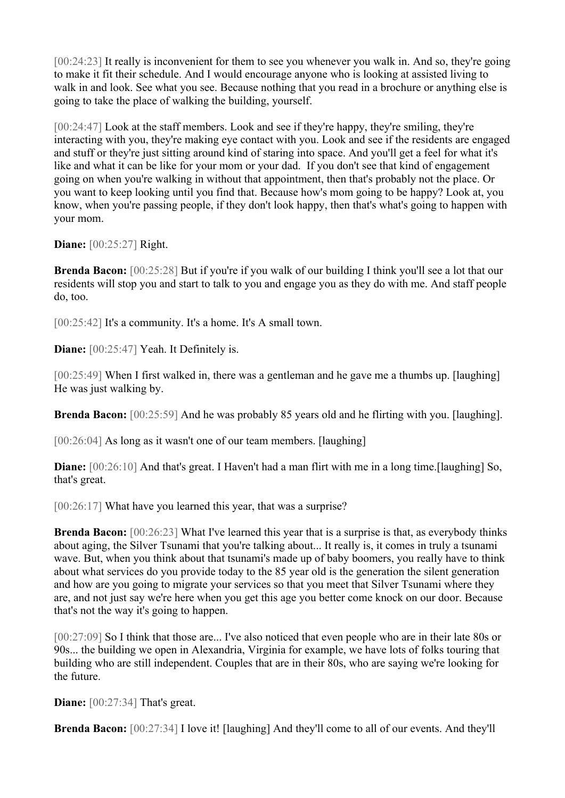[00:24:23] It really is inconvenient for them to see you whenever you walk in. And so, they're going to make it fit their schedule. And I would encourage anyone who is looking at assisted living to walk in and look. See what you see. Because nothing that you read in a brochure or anything else is going to take the place of walking the building, yourself.

[00:24:47] Look at the staff members. Look and see if they're happy, they're smiling, they're interacting with you, they're making eye contact with you. Look and see if the residents are engaged and stuff or they're just sitting around kind of staring into space. And you'll get a feel for what it's like and what it can be like for your mom or your dad. If you don't see that kind of engagement going on when you're walking in without that appointment, then that's probably not the place. Or you want to keep looking until you find that. Because how's mom going to be happy? Look at, you know, when you're passing people, if they don't look happy, then that's what's going to happen with your mom.

**Diane:** [00:25:27] Right.

**Brenda Bacon:** [00:25:28] But if you're if you walk of our building I think you'll see a lot that our residents will stop you and start to talk to you and engage you as they do with me. And staff people do, too.

[00:25:42] It's a community. It's a home. It's A small town.

**Diane:** [00:25:47] Yeah. It Definitely is.

[00:25:49] When I first walked in, there was a gentleman and he gave me a thumbs up. [laughing] He was just walking by.

**Brenda Bacon:** [00:25:59] And he was probably 85 years old and he flirting with you. [laughing].

[00:26:04] As long as it wasn't one of our team members. [laughing]

**Diane:** [00:26:10] And that's great. I Haven't had a man flirt with me in a long time.[laughing] So, that's great.

[00:26:17] What have you learned this year, that was a surprise?

**Brenda Bacon:** [00:26:23] What I've learned this year that is a surprise is that, as everybody thinks about aging, the Silver Tsunami that you're talking about... It really is, it comes in truly a tsunami wave. But, when you think about that tsunami's made up of baby boomers, you really have to think about what services do you provide today to the 85 year old is the generation the silent generation and how are you going to migrate your services so that you meet that Silver Tsunami where they are, and not just say we're here when you get this age you better come knock on our door. Because that's not the way it's going to happen.

[00:27:09] So I think that those are... I've also noticed that even people who are in their late 80s or 90s... the building we open in Alexandria, Virginia for example, we have lots of folks touring that building who are still independent. Couples that are in their 80s, who are saying we're looking for the future.

**Diane:** [00:27:34] That's great.

**Brenda Bacon:** [00:27:34] I love it! [laughing] And they'll come to all of our events. And they'll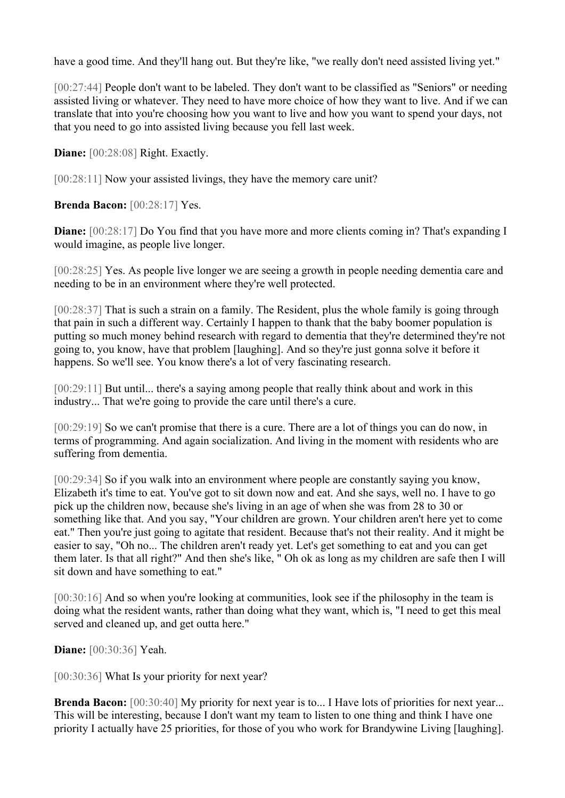have a good time. And they'll hang out. But they're like, "we really don't need assisted living yet."

[00:27:44] People don't want to be labeled. They don't want to be classified as "Seniors" or needing assisted living or whatever. They need to have more choice of how they want to live. And if we can translate that into you're choosing how you want to live and how you want to spend your days, not that you need to go into assisted living because you fell last week.

**Diane:** [00:28:08] Right. Exactly.

[00:28:11] Now your assisted livings, they have the memory care unit?

**Brenda Bacon:** [00:28:17] Yes.

**Diane:** [00:28:17] Do You find that you have more and more clients coming in? That's expanding I would imagine, as people live longer.

[00:28:25] Yes. As people live longer we are seeing a growth in people needing dementia care and needing to be in an environment where they're well protected.

[00:28:37] That is such a strain on a family. The Resident, plus the whole family is going through that pain in such a different way. Certainly I happen to thank that the baby boomer population is putting so much money behind research with regard to dementia that they're determined they're not going to, you know, have that problem [laughing]. And so they're just gonna solve it before it happens. So we'll see. You know there's a lot of very fascinating research.

[00:29:11] But until... there's a saying among people that really think about and work in this industry... That we're going to provide the care until there's a cure.

[00:29:19] So we can't promise that there is a cure. There are a lot of things you can do now, in terms of programming. And again socialization. And living in the moment with residents who are suffering from dementia.

[00:29:34] So if you walk into an environment where people are constantly saying you know, Elizabeth it's time to eat. You've got to sit down now and eat. And she says, well no. I have to go pick up the children now, because she's living in an age of when she was from 28 to 30 or something like that. And you say, "Your children are grown. Your children aren't here yet to come eat." Then you're just going to agitate that resident. Because that's not their reality. And it might be easier to say, "Oh no... The children aren't ready yet. Let's get something to eat and you can get them later. Is that all right?" And then she's like, " Oh ok as long as my children are safe then I will sit down and have something to eat."

[00:30:16] And so when you're looking at communities, look see if the philosophy in the team is doing what the resident wants, rather than doing what they want, which is, "I need to get this meal served and cleaned up, and get outta here."

**Diane:** [00:30:36] Yeah.

[00:30:36] What Is your priority for next year?

**Brenda Bacon:** [00:30:40] My priority for next year is to... I Have lots of priorities for next year... This will be interesting, because I don't want my team to listen to one thing and think I have one priority I actually have 25 priorities, for those of you who work for Brandywine Living [laughing].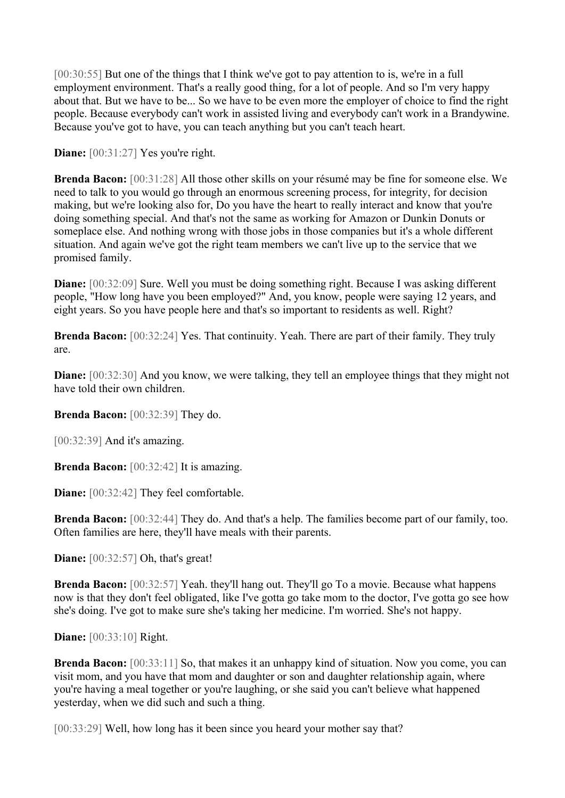[00:30:55] But one of the things that I think we've got to pay attention to is, we're in a full employment environment. That's a really good thing, for a lot of people. And so I'm very happy about that. But we have to be... So we have to be even more the employer of choice to find the right people. Because everybody can't work in assisted living and everybody can't work in a Brandywine. Because you've got to have, you can teach anything but you can't teach heart.

**Diane:**  $[00:31:27]$  Yes you're right.

**Brenda Bacon:** [00:31:28] All those other skills on your résumé may be fine for someone else. We need to talk to you would go through an enormous screening process, for integrity, for decision making, but we're looking also for, Do you have the heart to really interact and know that you're doing something special. And that's not the same as working for Amazon or Dunkin Donuts or someplace else. And nothing wrong with those jobs in those companies but it's a whole different situation. And again we've got the right team members we can't live up to the service that we promised family.

**Diane:** [00:32:09] Sure. Well you must be doing something right. Because I was asking different people, "How long have you been employed?" And, you know, people were saying 12 years, and eight years. So you have people here and that's so important to residents as well. Right?

**Brenda Bacon:** [00:32:24] Yes. That continuity. Yeah. There are part of their family. They truly are.

**Diane:** [00:32:30] And you know, we were talking, they tell an employee things that they might not have told their own children.

**Brenda Bacon:** [00:32:39] They do.

[00:32:39] And it's amazing.

**Brenda Bacon:** [00:32:42] It is amazing.

**Diane:**  $[00:32:42]$  They feel comfortable.

**Brenda Bacon:** [00:32:44] They do. And that's a help. The families become part of our family, too. Often families are here, they'll have meals with their parents.

**Diane:** [00:32:57] Oh, that's great!

**Brenda Bacon:** [00:32:57] Yeah. they'll hang out. They'll go To a movie. Because what happens now is that they don't feel obligated, like I've gotta go take mom to the doctor, I've gotta go see how she's doing. I've got to make sure she's taking her medicine. I'm worried. She's not happy.

**Diane:** [00:33:10] Right.

**Brenda Bacon:** [00:33:11] So, that makes it an unhappy kind of situation. Now you come, you can visit mom, and you have that mom and daughter or son and daughter relationship again, where you're having a meal together or you're laughing, or she said you can't believe what happened yesterday, when we did such and such a thing.

[00:33:29] Well, how long has it been since you heard your mother say that?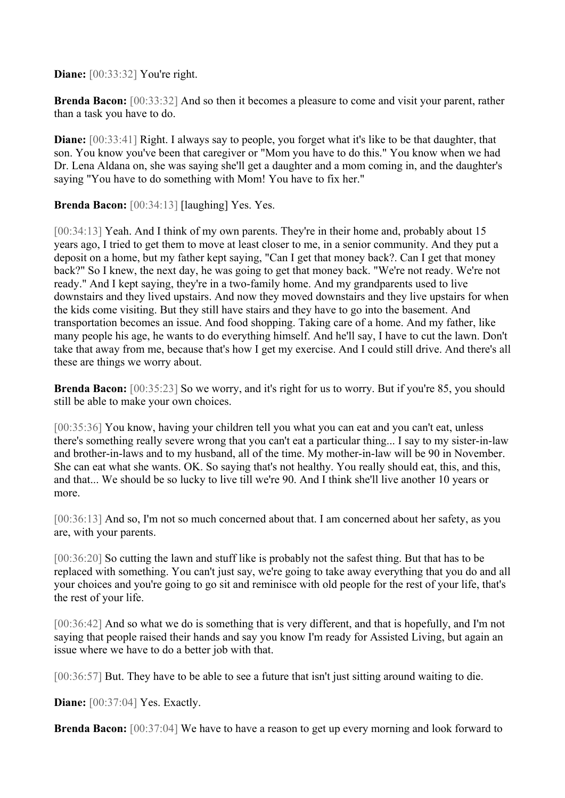**Diane:** [00:33:32] You're right.

**Brenda Bacon:** [00:33:32] And so then it becomes a pleasure to come and visit your parent, rather than a task you have to do.

**Diane:** [00:33:41] Right. I always say to people, you forget what it's like to be that daughter, that son. You know you've been that caregiver or "Mom you have to do this." You know when we had Dr. Lena Aldana on, she was saying she'll get a daughter and a mom coming in, and the daughter's saying "You have to do something with Mom! You have to fix her."

**Brenda Bacon:** [00:34:13] [laughing] Yes. Yes.

[00:34:13] Yeah. And I think of my own parents. They're in their home and, probably about 15 years ago, I tried to get them to move at least closer to me, in a senior community. And they put a deposit on a home, but my father kept saying, "Can I get that money back?. Can I get that money back?" So I knew, the next day, he was going to get that money back. "We're not ready. We're not ready." And I kept saying, they're in a two-family home. And my grandparents used to live downstairs and they lived upstairs. And now they moved downstairs and they live upstairs for when the kids come visiting. But they still have stairs and they have to go into the basement. And transportation becomes an issue. And food shopping. Taking care of a home. And my father, like many people his age, he wants to do everything himself. And he'll say, I have to cut the lawn. Don't take that away from me, because that's how I get my exercise. And I could still drive. And there's all these are things we worry about.

**Brenda Bacon:** [00:35:23] So we worry, and it's right for us to worry. But if you're 85, you should still be able to make your own choices.

[00:35:36] You know, having your children tell you what you can eat and you can't eat, unless there's something really severe wrong that you can't eat a particular thing... I say to my sister-in-law and brother-in-laws and to my husband, all of the time. My mother-in-law will be 90 in November. She can eat what she wants. OK. So saying that's not healthy. You really should eat, this, and this, and that... We should be so lucky to live till we're 90. And I think she'll live another 10 years or more.

[00:36:13] And so, I'm not so much concerned about that. I am concerned about her safety, as you are, with your parents.

[00:36:20] So cutting the lawn and stuff like is probably not the safest thing. But that has to be replaced with something. You can't just say, we're going to take away everything that you do and all your choices and you're going to go sit and reminisce with old people for the rest of your life, that's the rest of your life.

[00:36:42] And so what we do is something that is very different, and that is hopefully, and I'm not saying that people raised their hands and say you know I'm ready for Assisted Living, but again an issue where we have to do a better job with that.

[00:36:57] But. They have to be able to see a future that isn't just sitting around waiting to die.

**Diane:** [00:37:04] Yes. Exactly.

**Brenda Bacon:** [00:37:04] We have to have a reason to get up every morning and look forward to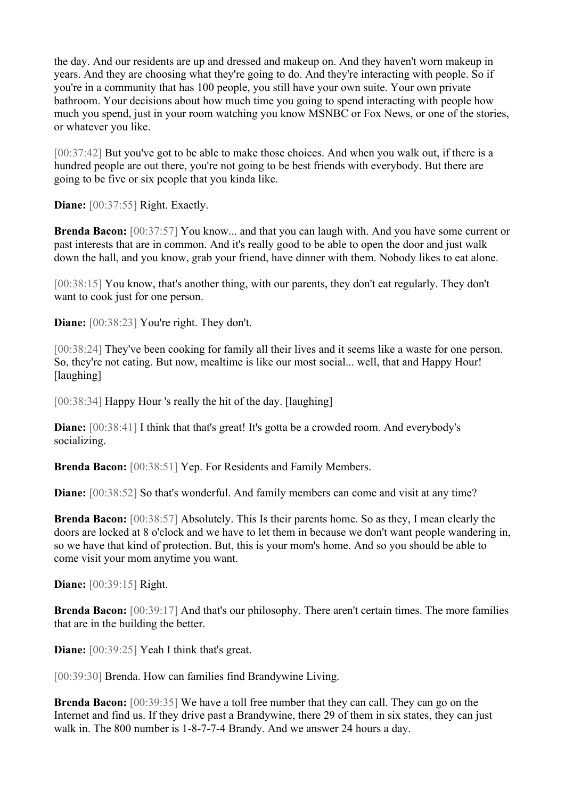the day. And our residents are up and dressed and makeup on. And they haven't worn makeup in years. And they are choosing what they're going to do. And they're interacting with people. So if you're in a community that has 100 people, you still have your own suite. Your own private bathroom. Your decisions about how much time you going to spend interacting with people how much you spend, just in your room watching you know MSNBC or Fox News, or one of the stories, or whatever you like.

[00:37:42] But you've got to be able to make those choices. And when you walk out, if there is a hundred people are out there, you're not going to be best friends with everybody. But there are going to be five or six people that you kinda like.

**Diane:** [00:37:55] Right. Exactly.

**Brenda Bacon:** [00:37:57] You know... and that you can laugh with. And you have some current or past interests that are in common. And it's really good to be able to open the door and just walk down the hall, and you know, grab your friend, have dinner with them. Nobody likes to eat alone.

[00:38:15] You know, that's another thing, with our parents, they don't eat regularly. They don't want to cook just for one person.

**Diane:** [00:38:23] You're right. They don't.

[00:38:24] They've been cooking for family all their lives and it seems like a waste for one person. So, they're not eating. But now, mealtime is like our most social... well, that and Happy Hour! [laughing]

[00:38:34] Happy Hour 's really the hit of the day. [laughing]

**Diane:**  $[00:38:41]$  I think that that's great! It's gotta be a crowded room. And everybody's socializing.

**Brenda Bacon:** [00:38:51] Yep. For Residents and Family Members.

**Diane:** [00:38:52] So that's wonderful. And family members can come and visit at any time?

**Brenda Bacon:** [00:38:57] Absolutely. This Is their parents home. So as they, I mean clearly the doors are locked at 8 o'clock and we have to let them in because we don't want people wandering in, so we have that kind of protection. But, this is your mom's home. And so you should be able to come visit your mom anytime you want.

**Diane:** [00:39:15] Right.

**Brenda Bacon:** [00:39:17] And that's our philosophy. There aren't certain times. The more families that are in the building the better.

**Diane:** [00:39:25] Yeah I think that's great.

[00:39:30] Brenda. How can families find Brandywine Living.

**Brenda Bacon:** [00:39:35] We have a toll free number that they can call. They can go on the Internet and find us. If they drive past a Brandywine, there 29 of them in six states, they can just walk in. The 800 number is 1-8-7-7-4 Brandy. And we answer 24 hours a day.